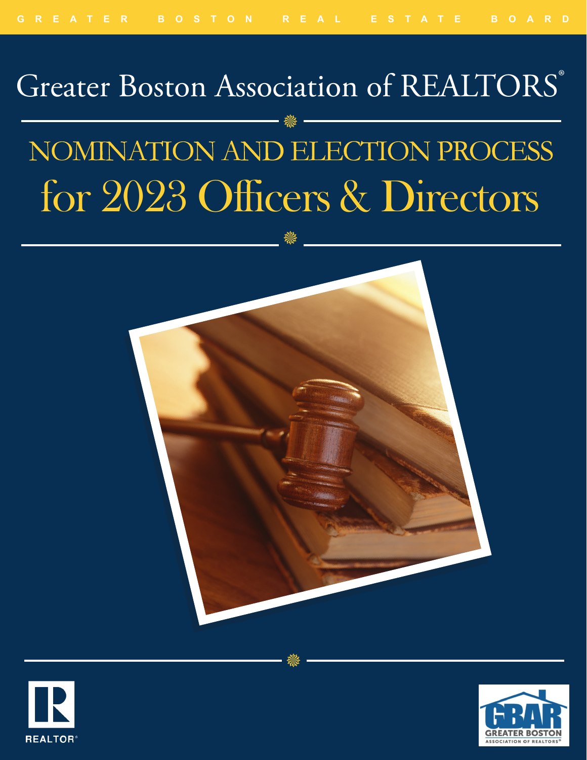# Greater Boston Association of REALTORS® 豢 NOMINATION AND ELECTION PROCESS for 2023 Officers & Directors





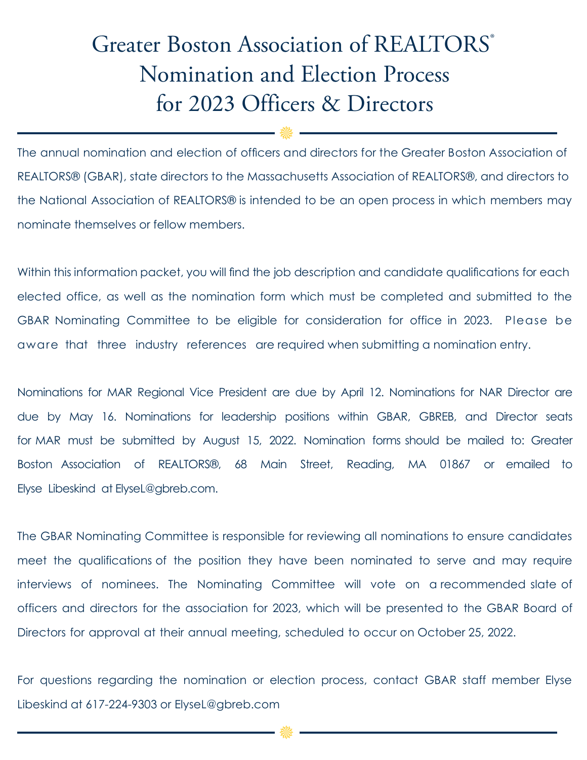# Greater Boston Association of REALTORS° Nomination and Election Process for 2023 Officers & Directors

The annual nomination and election of officers and directors for the Greater Boston Association of REALTORS® (GBAR), state directors to the Massachusetts Association of REALTORS®, and directors to the National Association of REALTORS® is intended to be an open process in which members may nominate themselves or fellow members.

₩

Within this information packet, you will find the job description and candidate qualifications for each elected office, as well as the nomination form which must be completed and submitted to the GBAR Nominating Committee to be eligible for consideration for office in 2023. Please be aware that three industry references are required when submitting a nomination entry.

Nominations for MAR Regional Vice President are due by April 12. Nominations for NAR Director are due by May 16. Nominations for leadership positions within GBAR, GBREB, and Director seats for MAR must be submitted by August 15, 2022. Nomination forms should be mailed to: Greater Boston Association of REALTORS®, 68 Main Street, Reading, MA 01867 or emailed to Elyse Libeskind at ElyseL@gbreb.com.

The GBAR Nominating Committee is responsible for reviewing all nominations to ensure candidates meet the qualifications of the position they have been nominated to serve and may require interviews of nominees. The Nominating Committee will vote on a recommended slate of officers and directors for the association for 2023, which will be presented to the GBAR Board of Directors for approval at their annual meeting, scheduled to occur on October 25, 2022.

For questions regarding the nomination or election process, contact GBAR staff member Elyse Libeskind at 617-224-9303 or ElyseL@gbreb.com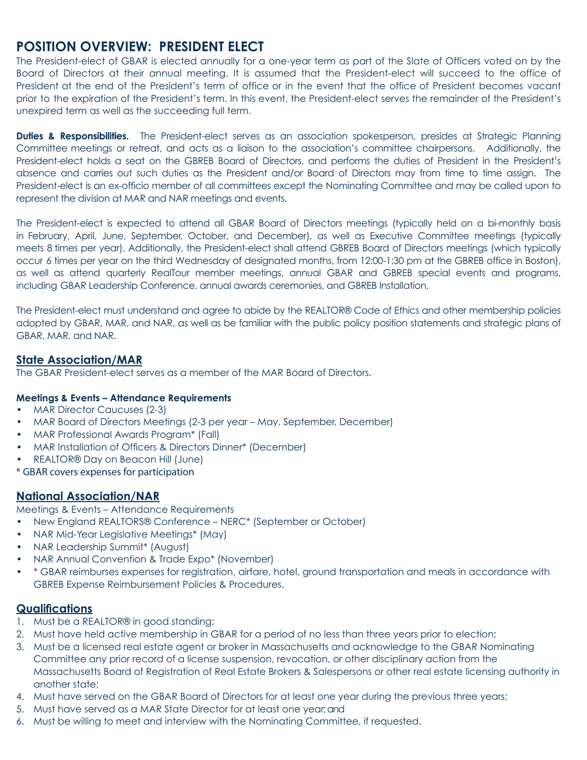## **POSITION OVERVIEW: PRESIDENT ELECT**

The President-elect of GBAR is elected annually for a one-year term as part of the Slate of Officers voted on by the Board of Directors at their annual meeting. It is assumed that the President-elect will succeed to the office of President at the end of the President's term of office or in the event that the office of President becomes vacant prior to the expiration of the President's term. In this event, the President-elect serves the remainder of the President's unexpired term as well as the succeeding full term.

**Duties & Responsibilities.** The President-elect serves as an association spokesperson, presides at Strategic Planning Committee meetings or retreat, and acts as a liaison to the association's committee chairpersons. Additionally, the President-elect holds a seat on the GBREB Board of Directors, and performs the duties of President in the President's absence and carries out such duties as the President and/or Board of Directors may from time to time assign. The President-elect is an ex-officio member of all committees except the Nominating Committee and may be called upon to represent the division at MAR and NAR meetings and events.

The President-elect is expected to attend all GBAR Board of Directors meetings (typically held on a bi-monthly basis in February, April, June, September, October, and December), as well as Executive Committee meetings (typically meets 8 times per year). Additionally, the President-elect shall attend GBREB Board of Directors meetings (which typically occur 6 times per year on the third Wednesday of designated months, from 12:00-1:30 pm at the GBREB office in Boston), as well as attend quarterly RealTour member meetings, annual GBAR and GBREB special events and programs, including GBAR Leadership Conference, annual awards ceremonies, and GBREB Installation.

The President-elect must understand and agree to abide by the REALTOR® Code of Ethics and other membership policies adopted by GBAR, MAR, and NAR, as well as be familiar with the public policy position statements and strategic plans of GBAR, MAR, and NAR.

#### **State Association/MAR**

The GBAR President-elect serves as a member of the MAR Board of Directors.

#### **Meetings & Events – Attendance Requirements**

- MAR Director Caucuses (2-3)
- MAR Board of Directors Meetings (2-3 per year May, September, December)
- MAR Professional Awards Program\* (Fall)
- MAR Installation of Officers & Directors Dinner\* (December)
- REALTOR® Day on Beacon Hill (June)
- \* GBAR covers expenses for participation

#### **National Association/NAR**

Meetings & Events – Attendance Requirements

- New England REALTORS® Conference NERC\* (September or October)
- NAR Mid-Year Legislative Meetings\* (May)
- NAR Leadership Summit\* (August)
- NAR Annual Convention & Trade Expo\* (November)
- \* GBAR reimburses expenses for registration, airfare, hotel, ground transportation and meals in accordance with GBREB Expense Reimbursement Policies & Procedures.

- 1. Must be a REALTOR® in good standing;
- 2. Must have held active membership in GBAR for a period of no less than three years prior to election;
- 3. Must be a licensed real estate agent or broker in Massachusetts and acknowledge to the GBAR Nominating Committee any prior record of a license suspension, revocation, or other disciplinary action from the Massachusetts Board of Registration of Real Estate Brokers & Salespersons or other real estate licensing authority in another state;
- 4. Must have served on the GBAR Board of Directors for at least one year during the previous three years;
- 5. Must have served as a MAR State Director for at least one year; and
- 6. Must be willing to meet and interview with the Nominating Committee, if requested.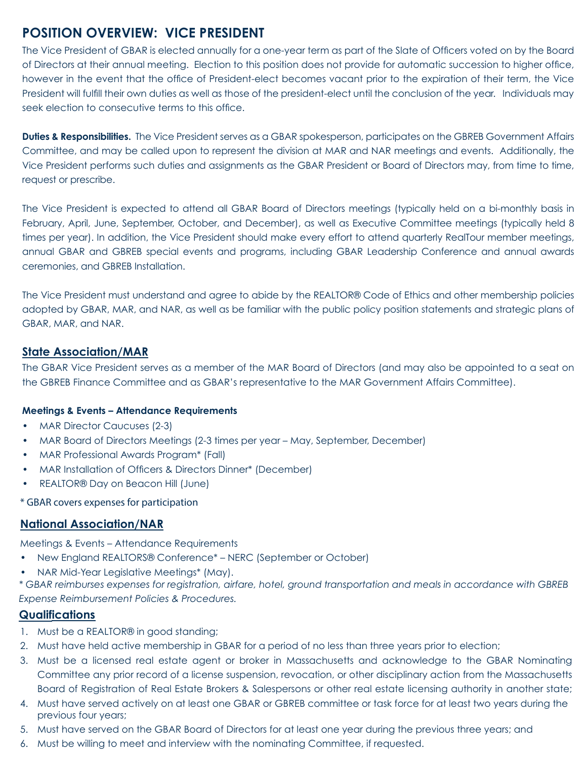# **POSITION OVERVIEW: VICE PRESIDENT**

The Vice President of GBAR is elected annually for a one-year term as part of the Slate of Officers voted on by the Board of Directors at their annual meeting. Election to this position does not provide for automatic succession to higher office, however in the event that the office of President-elect becomes vacant prior to the expiration of their term, the Vice President will fulfill their own duties as well as those of the president-elect until the conclusion of the year. Individuals may seek election to consecutive terms to this office.

**Duties & Responsibilities.** The Vice President serves as a GBAR spokesperson, participates on the GBREB Government Affairs Committee, and may be called upon to represent the division at MAR and NAR meetings and events. Additionally, the Vice President performs such duties and assignments as the GBAR President or Board of Directors may, from time to time, request or prescribe.

The Vice President is expected to attend all GBAR Board of Directors meetings (typically held on a bi-monthly basis in February, April, June, September, October, and December), as well as Executive Committee meetings (typically held 8 times per year). In addition, the Vice President should make every effort to attend quarterly RealTour member meetings, annual GBAR and GBREB special events and programs, including GBAR Leadership Conference and annual awards ceremonies, and GBREB Installation.

The Vice President must understand and agree to abide by the REALTOR® Code of Ethics and other membership policies adopted by GBAR, MAR, and NAR, as well as be familiar with the public policy position statements and strategic plans of GBAR, MAR, and NAR.

#### **State Association/MAR**

The GBAR Vice President serves as a member of the MAR Board of Directors (and may also be appointed to a seat on the GBREB Finance Committee and as GBAR's representative to the MAR Government Affairs Committee).

#### **Meetings & Events – Attendance Requirements**

- MAR Director Caucuses (2-3)
- MAR Board of Directors Meetings (2-3 times per year May, September, December)
- MAR Professional Awards Program\* (Fall)
- MAR Installation of Officers & Directors Dinner\* (December)
- REALTOR® Day on Beacon Hill (June)

\* GBAR covers expenses for participation

#### **National Association/NAR**

Meetings & Events – Attendance Requirements

- New England REALTORS® Conference\* NERC (September or October)
- NAR Mid-Year Legislative Meetings\* (May).

*\* GBAR reimburses expenses for registration, airfare, hotel, ground transportation and meals in accordance with GBREB Expense Reimbursement Policies & Procedures.*

- 1. Must be a REALTOR® in good standing;
- 2. Must have held active membership in GBAR for a period of no less than three years prior to election;
- 3. Must be a licensed real estate agent or broker in Massachusetts and acknowledge to the GBAR Nominating Committee any prior record of a license suspension, revocation, or other disciplinary action from the Massachusetts Board of Registration of Real Estate Brokers & Salespersons or other real estate licensing authority in another state;
- 4. Must have served actively on at least one GBAR or GBREB committee or task force for at least two years during the previous four years;
- 5. Must have served on the GBAR Board of Directors for at least one year during the previous three years; and
- 6. Must be willing to meet and interview with the nominating Committee, if requested.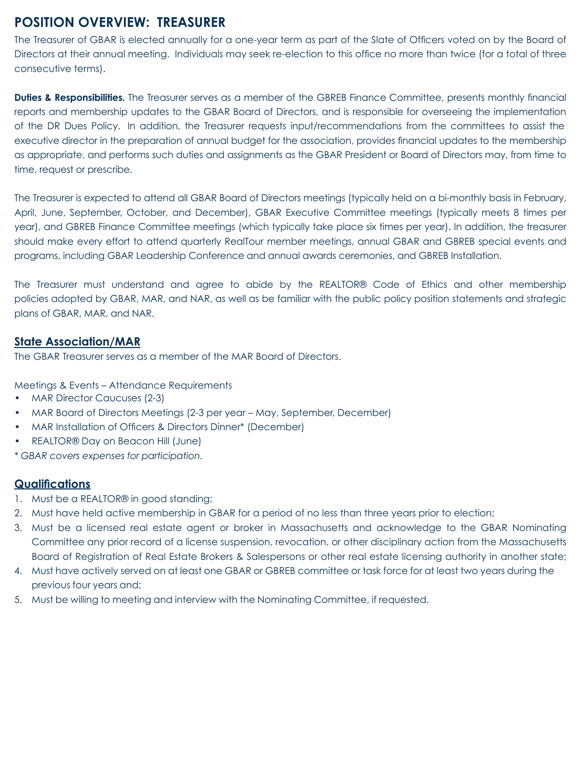## **POSITION OVERVIEW: TREASURER**

The Treasurer of GBAR is elected annually for a one-year term as part of the Slate of Officers voted on by the Board of Directors at their annual meeting. Individuals may seek re-election to this office no more than twice (for a total of three consecutive terms).

**Duties & Responsibilities.** The Treasurer serves as a member of the GBREB Finance Committee, presents monthly financial reports and membership updates to the GBAR Board of Directors, and is responsible for overseeing the implementation of the DR Dues Policy. In addition, the Treasurer requests input/recommendations from the committees to assist the executive director in the preparation of annual budget for the association, provides financial updates to the membership as appropriate, and performs such duties and assignments as the GBAR President or Board of Directors may, from time to time, request or prescribe.

The Treasurer is expected to attend all GBAR Board of Directors meetings (typically held on a bi-monthly basis in February, April, June, September, October, and December), GBAR Executive Committee meetings (typically meets 8 times per year), and GBREB Finance Committee meetings (which typically take place six times per year). In addition, the treasurer should make every effort to attend quarterly RealTour member meetings, annual GBAR and GBREB special events and programs, including GBAR Leadership Conference and annual awards ceremonies, and GBREB Installation.

The Treasurer must understand and agree to abide by the REALTOR® Code of Ethics and other membership policies adopted by GBAR, MAR, and NAR, as well as be familiar with the public policy position statements and strategic plans of GBAR, MAR, and NAR.

#### **State Association/MAR**

The GBAR Treasurer serves as a member of the MAR Board of Directors.

Meetings & Events – Attendance Requirements

- MAR Director Caucuses (2-3)
- MAR Board of Directors Meetings (2-3 per year May, September, December)
- MAR Installation of Officers & Directors Dinner\* (December)
- REALTOR® Day on Beacon Hill (June)
- *\* GBAR covers expenses for participation.*

- 1. Must be a REALTOR® in good standing;
- 2. Must have held active membership in GBAR for a period of no less than three years prior to election;
- 3. Must be a licensed real estate agent or broker in Massachusetts and acknowledge to the GBAR Nominating Committee any prior record of a license suspension, revocation, or other disciplinary action from the Massachusetts Board of Registration of Real Estate Brokers & Salespersons or other real estate licensing authority in another state;
- 4. Must have actively served on at least one GBAR or GBREB committee or task force for at least two years during the previous four years and;
- 5. Must be willing to meeting and interview with the Nominating Committee, if requested.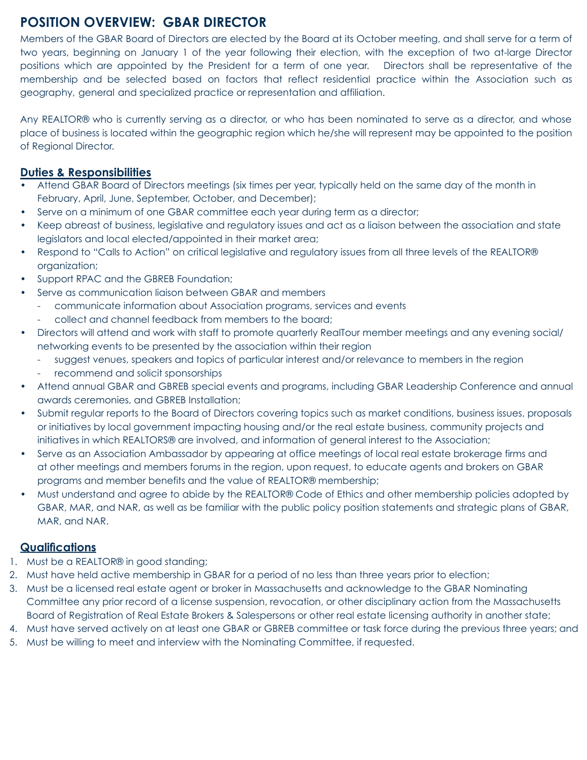# **POSITION OVERVIEW: GBAR DIRECTOR**

Members of the GBAR Board of Directors are elected by the Board at its October meeting, and shall serve for a term of two years, beginning on January 1 of the year following their election, with the exception of two at-large Director positions which are appointed by the President for a term of one year. Directors shall be representative of the membership and be selected based on factors that reflect residential practice within the Association such as geography, general and specialized practice or representation and affiliation.

Any REALTOR® who is currently serving as a director, or who has been nominated to serve as a director, and whose place of business is located within the geographic region which he/she will represent may be appointed to the position of Regional Director.

#### **Duties & Responsibilities**

- Attend GBAR Board of Directors meetings (six times per year, typically held on the same day of the month in February, April, June, September, October, and December);
- Serve on a minimum of one GBAR committee each year during term as a director;
- Keep abreast of business, legislative and regulatory issues and act as a liaison between the association and state legislators and local elected/appointed in their market area;
- Respond to "Calls to Action" on critical legislative and regulatory issues from all three levels of the REALTOR® organization;
- Support RPAC and the GBREB Foundation;
- Serve as communication liaison between GBAR and members
	- communicate information about Association programs, services and events
	- collect and channel feedback from members to the board;
- Directors will attend and work with staff to promote quarterly RealTour member meetings and any evening social/ networking events to be presented by the association within their region
	- suggest venues, speakers and topics of particular interest and/or relevance to members in the region
	- recommend and solicit sponsorships
- Attend annual GBAR and GBREB special events and programs, including GBAR Leadership Conference and annual awards ceremonies, and GBREB Installation;
- Submit regular reports to the Board of Directors covering topics such as market conditions, business issues, proposals or initiatives by local government impacting housing and/or the real estate business, community projects and initiatives in which REALTORS® are involved, and information of general interest to the Association;
- Serve as an Association Ambassador by appearing at office meetings of local real estate brokerage firms and at other meetings and members forums in the region, upon request, to educate agents and brokers on GBAR programs and member benefits and the value of REALTOR® membership;
- Must understand and agree to abide by the REALTOR® Code of Ethics and other membership policies adopted by GBAR, MAR, and NAR, as well as be familiar with the public policy position statements and strategic plans of GBAR, MAR, and NAR.

- 1. Must be a REALTOR® in good standing;
- 2. Must have held active membership in GBAR for a period of no less than three years prior to election;
- 3. Must be a licensed real estate agent or broker in Massachusetts and acknowledge to the GBAR Nominating Committee any prior record of a license suspension, revocation, or other disciplinary action from the Massachusetts Board of Registration of Real Estate Brokers & Salespersons or other real estate licensing authority in another state;
- 4. Must have served actively on at least one GBAR or GBREB committee or task force during the previous three years; and
- 5. Must be willing to meet and interview with the Nominating Committee, if requested.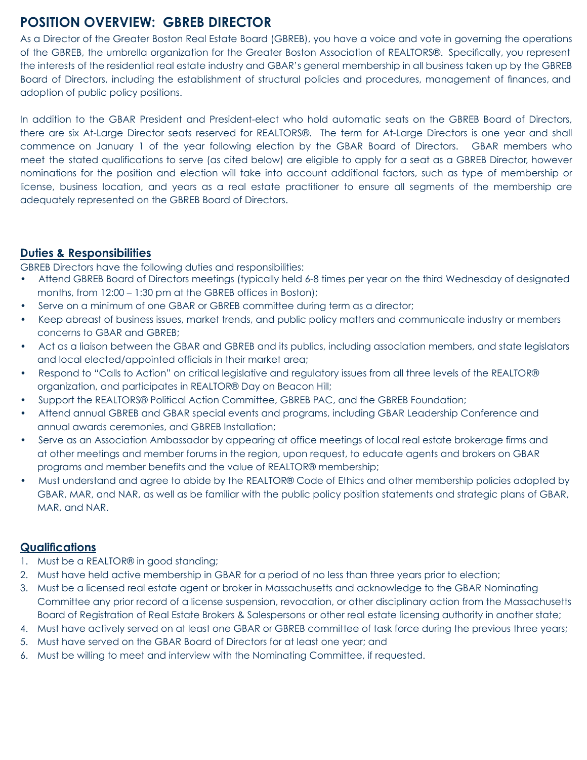# **POSITION OVERVIEW: GBREB DIRECTOR**

As a Director of the Greater Boston Real Estate Board (GBREB), you have a voice and vote in governing the operations of the GBREB, the umbrella organization for the Greater Boston Association of REALTORS®. Specifically, you represent the interests of the residential real estate industry and GBAR's general membership in all business taken up by the GBREB Board of Directors, including the establishment of structural policies and procedures, management of finances, and adoption of public policy positions.

In addition to the GBAR President and President-elect who hold automatic seats on the GBREB Board of Directors, there are six At-Large Director seats reserved for REALTORS®. The term for At-Large Directors is one year and shall commence on January 1 of the year following election by the GBAR Board of Directors. GBAR members who meet the stated qualifications to serve (as cited below) are eligible to apply for a seat as a GBREB Director, however nominations for the position and election will take into account additional factors, such as type of membership or license, business location, and years as a real estate practitioner to ensure all segments of the membership are adequately represented on the GBREB Board of Directors.

#### **Duties & Responsibilities**

GBREB Directors have the following duties and responsibilities:

- Attend GBREB Board of Directors meetings (typically held 6-8 times per year on the third Wednesday of designated months, from 12:00 – 1:30 pm at the GBREB offices in Boston);
- Serve on a minimum of one GBAR or GBREB committee during term as a director;
- Keep abreast of business issues, market trends, and public policy matters and communicate industry or members concerns to GBAR and GBREB;
- Act as a liaison between the GBAR and GBREB and its publics, including association members, and state legislators and local elected/appointed officials in their market area;
- Respond to "Calls to Action" on critical legislative and regulatory issues from all three levels of the REALTOR® organization, and participates in REALTOR® Day on Beacon Hill;
- Support the REALTORS® Political Action Committee, GBREB PAC, and the GBREB Foundation;
- Attend annual GBREB and GBAR special events and programs, including GBAR Leadership Conference and annual awards ceremonies, and GBREB Installation;
- Serve as an Association Ambassador by appearing at office meetings of local real estate brokerage firms and at other meetings and member forums in the region, upon request, to educate agents and brokers on GBAR programs and member benefits and the value of REALTOR® membership;
- Must understand and agree to abide by the REALTOR® Code of Ethics and other membership policies adopted by GBAR, MAR, and NAR, as well as be familiar with the public policy position statements and strategic plans of GBAR, MAR, and NAR.

- 1. Must be a REALTOR® in good standing;
- 2. Must have held active membership in GBAR for a period of no less than three years prior to election;
- 3. Must be a licensed real estate agent or broker in Massachusetts and acknowledge to the GBAR Nominating Committee any prior record of a license suspension, revocation, or other disciplinary action from the Massachusetts Board of Registration of Real Estate Brokers & Salespersons or other real estate licensing authority in another state;
- 4. Must have actively served on at least one GBAR or GBREB committee of task force during the previous three years;
- 5. Must have served on the GBAR Board of Directors for at least one year; and
- 6. Must be willing to meet and interview with the Nominating Committee, if requested.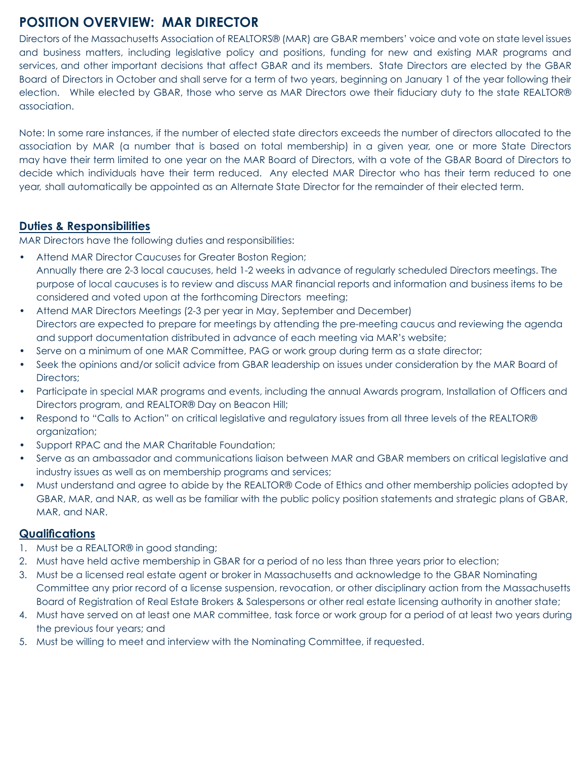# **POSITION OVERVIEW: MAR DIRECTOR**

Directors of the Massachusetts Association of REALTORS® (MAR) are GBAR members' voice and vote on state level issues and business matters, including legislative policy and positions, funding for new and existing MAR programs and services, and other important decisions that affect GBAR and its members. State Directors are elected by the GBAR Board of Directors in October and shall serve for a term of two years, beginning on January 1 of the year following their election. While elected by GBAR, those who serve as MAR Directors owe their fiduciary duty to the state REALTOR® association.

Note: In some rare instances, if the number of elected state directors exceeds the number of directors allocated to the association by MAR (a number that is based on total membership) in a given year, one or more State Directors may have their term limited to one year on the MAR Board of Directors, with a vote of the GBAR Board of Directors to decide which individuals have their term reduced. Any elected MAR Director who has their term reduced to one year, shall automatically be appointed as an Alternate State Director for the remainder of their elected term.

#### **Duties & Responsibilities**

MAR Directors have the following duties and responsibilities:

- Attend MAR Director Caucuses for Greater Boston Region; Annually there are 2-3 local caucuses, held 1-2 weeks in advance of regularly scheduled Directors meetings. The purpose of local caucuses is to review and discuss MAR financial reports and information and business items to be considered and voted upon at the forthcoming Directors meeting;
- Attend MAR Directors Meetings (2-3 per year in May, September and December) Directors are expected to prepare for meetings by attending the pre-meeting caucus and reviewing the agenda and support documentation distributed in advance of each meeting via MAR's website;
- Serve on a minimum of one MAR Committee, PAG or work group during term as a state director;
- Seek the opinions and/or solicit advice from GBAR leadership on issues under consideration by the MAR Board of Directors;
- Participate in special MAR programs and events, including the annual Awards program, Installation of Officers and Directors program, and REALTOR® Day on Beacon Hill;
- Respond to "Calls to Action" on critical legislative and regulatory issues from all three levels of the REALTOR® organization;
- Support RPAC and the MAR Charitable Foundation;
- Serve as an ambassador and communications liaison between MAR and GBAR members on critical legislative and industry issues as well as on membership programs and services;
- Must understand and agree to abide by the REALTOR® Code of Ethics and other membership policies adopted by GBAR, MAR, and NAR, as well as be familiar with the public policy position statements and strategic plans of GBAR, MAR, and NAR.

- 1. Must be a REALTOR® in good standing;
- 2. Must have held active membership in GBAR for a period of no less than three years prior to election;
- 3. Must be a licensed real estate agent or broker in Massachusetts and acknowledge to the GBAR Nominating Committee any prior record of a license suspension, revocation, or other disciplinary action from the Massachusetts Board of Registration of Real Estate Brokers & Salespersons or other real estate licensing authority in another state;
- 4. Must have served on at least one MAR committee, task force or work group for a period of at least two years during the previous four years; and
- 5. Must be willing to meet and interview with the Nominating Committee, if requested.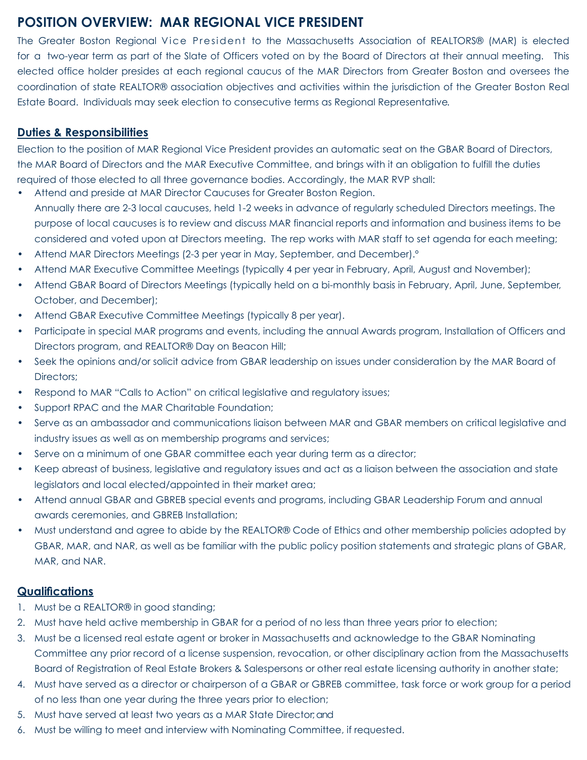# **POSITION OVERVIEW: MAR REGIONAL VICE PRESIDENT**

The Greater Boston Regional Vice President to the Massachusetts Association of REALTORS® (MAR) is elected for a two-year term as part of the Slate of Officers voted on by the Board of Directors at their annual meeting. This elected office holder presides at each regional caucus of the MAR Directors from Greater Boston and oversees the coordination of state REALTOR® association objectives and activities within the jurisdiction of the Greater Boston Real Estate Board. Individuals may seek election to consecutive terms as Regional Representative.

#### **Duties & Responsibilities**

Election to the position of MAR Regional Vice President provides an automatic seat on the GBAR Board of Directors, the MAR Board of Directors and the MAR Executive Committee, and brings with it an obligation to fulfill the duties required of those elected to all three governance bodies. Accordingly, the MAR RVP shall:

- Attend and preside at MAR Director Caucuses for Greater Boston Region. Annually there are 2-3 local caucuses, held 1-2 weeks in advance of regularly scheduled Directors meetings. The purpose of local caucuses is to review and discuss MAR financial reports and information and business items to be considered and voted upon at Directors meeting. The rep works with MAR staff to set agenda for each meeting;
- Attend MAR Directors Meetings (2-3 per year in May, September, and December).º
- Attend MAR Executive Committee Meetings (typically 4 per year in February, April, August and November);
- Attend GBAR Board of Directors Meetings (typically held on a bi-monthly basis in February, April, June, September, October, and December);
- Attend GBAR Executive Committee Meetings (typically 8 per year).
- Participate in special MAR programs and events, including the annual Awards program, Installation of Officers and Directors program, and REALTOR® Day on Beacon Hill;
- Seek the opinions and/or solicit advice from GBAR leadership on issues under consideration by the MAR Board of Directors;
- Respond to MAR "Calls to Action" on critical legislative and regulatory issues;
- Support RPAC and the MAR Charitable Foundation:
- Serve as an ambassador and communications liaison between MAR and GBAR members on critical legislative and industry issues as well as on membership programs and services;
- Serve on a minimum of one GBAR committee each year during term as a director;
- Keep abreast of business, legislative and regulatory issues and act as a liaison between the association and state legislators and local elected/appointed in their market area;
- Attend annual GBAR and GBREB special events and programs, including GBAR Leadership Forum and annual awards ceremonies, and GBREB Installation;
- Must understand and agree to abide by the REALTOR® Code of Ethics and other membership policies adopted by GBAR, MAR, and NAR, as well as be familiar with the public policy position statements and strategic plans of GBAR, MAR, and NAR.

- 1. Must be a REALTOR® in good standing;
- 2. Must have held active membership in GBAR for a period of no less than three years prior to election;
- 3. Must be a licensed real estate agent or broker in Massachusetts and acknowledge to the GBAR Nominating Committee any prior record of a license suspension, revocation, or other disciplinary action from the Massachusetts Board of Registration of Real Estate Brokers & Salespersons or other real estate licensing authority in another state;
- 4. Must have served as a director or chairperson of a GBAR or GBREB committee, task force or work group for a period of no less than one year during the three years prior to election;
- 5. Must have served at least two years as a MAR State Director; and
- 6. Must be willing to meet and interview with Nominating Committee, if requested.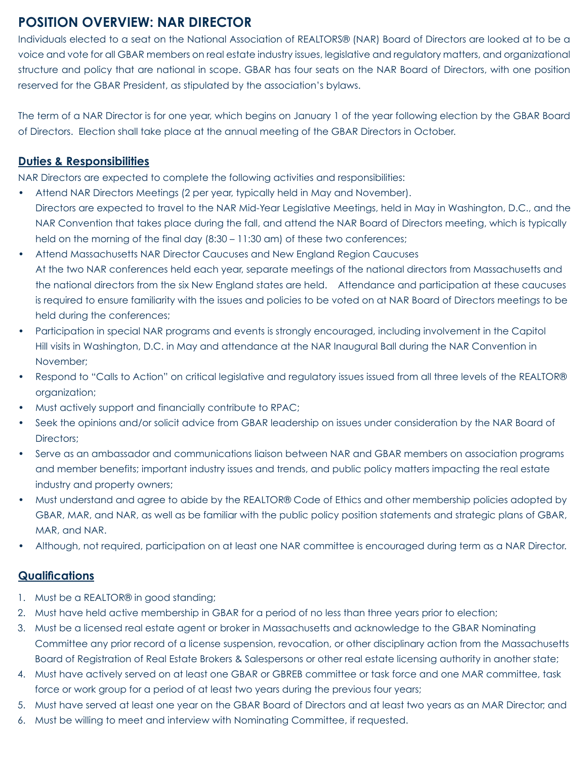# **POSITION OVERVIEW: NAR DIRECTOR**

Individuals elected to a seat on the National Association of REALTORS® (NAR) Board of Directors are looked at to be a voice and vote for all GBAR members on real estate industry issues, legislative and regulatory matters, and organizational structure and policy that are national in scope. GBAR has four seats on the NAR Board of Directors, with one position reserved for the GBAR President, as stipulated by the association's bylaws.

The term of a NAR Director is for one year, which begins on January 1 of the year following election by the GBAR Board of Directors. Election shall take place at the annual meeting of the GBAR Directors in October.

#### **Duties & Responsibilities**

NAR Directors are expected to complete the following activities and responsibilities:

- Attend NAR Directors Meetings (2 per year, typically held in May and November). Directors are expected to travel to the NAR Mid-Year Legislative Meetings, held in May in Washington, D.C., and the NAR Convention that takes place during the fall, and attend the NAR Board of Directors meeting, which is typically held on the morning of the final day (8:30 – 11:30 am) of these two conferences;
- Attend Massachusetts NAR Director Caucuses and New England Region Caucuses At the two NAR conferences held each year, separate meetings of the national directors from Massachusetts and the national directors from the six New England states are held. Attendance and participation at these caucuses is required to ensure familiarity with the issues and policies to be voted on at NAR Board of Directors meetings to be held during the conferences;
- Participation in special NAR programs and events is strongly encouraged, including involvement in the Capitol Hill visits in Washington, D.C. in May and attendance at the NAR Inaugural Ball during the NAR Convention in November;
- Respond to "Calls to Action" on critical legislative and regulatory issues issued from all three levels of the REALTOR® organization;
- Must actively support and financially contribute to RPAC;
- Seek the opinions and/or solicit advice from GBAR leadership on issues under consideration by the NAR Board of Directors;
- Serve as an ambassador and communications liaison between NAR and GBAR members on association programs and member benefits; important industry issues and trends, and public policy matters impacting the real estate industry and property owners;
- Must understand and agree to abide by the REALTOR® Code of Ethics and other membership policies adopted by GBAR, MAR, and NAR, as well as be familiar with the public policy position statements and strategic plans of GBAR, MAR, and NAR.
- Although, not required, participation on at least one NAR committee is encouraged during term as a NAR Director.

- 1. Must be a REALTOR® in good standing;
- 2. Must have held active membership in GBAR for a period of no less than three years prior to election;
- 3. Must be a licensed real estate agent or broker in Massachusetts and acknowledge to the GBAR Nominating Committee any prior record of a license suspension, revocation, or other disciplinary action from the Massachusetts Board of Registration of Real Estate Brokers & Salespersons or other real estate licensing authority in another state;
- 4. Must have actively served on at least one GBAR or GBREB committee or task force and one MAR committee, task force or work group for a period of at least two years during the previous four years;
- 5. Must have served at least one year on the GBAR Board of Directors and at least two years as an MAR Director; and
- 6. Must be willing to meet and interview with Nominating Committee, if requested.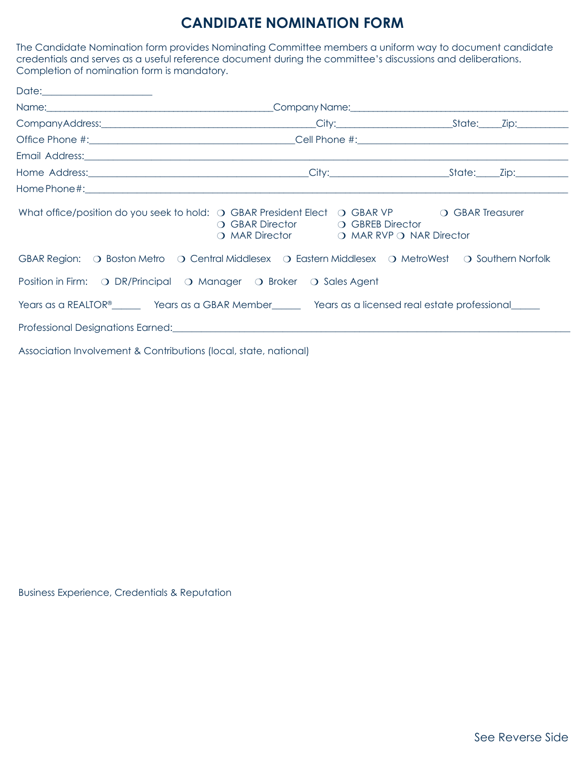# **CANDIDATE NOMINATION FORM**

The Candidate Nomination form provides Nominating Committee members a uniform way to document candidate credentials and serves as a useful reference document during the committee's discussions and deliberations. Completion of nomination form is mandatory.

| Date: 2000 |                                                                                                                                                                                                                                |  |
|------------|--------------------------------------------------------------------------------------------------------------------------------------------------------------------------------------------------------------------------------|--|
|            | Name: \\company Name: \\company Name: \\company Name: \\company Name: \\company Name: \\company Name: \\company Name: \\company Name: \\company Name: \\company Name: \\company Name: \\company Name: \\company Name: \\compan |  |
|            |                                                                                                                                                                                                                                |  |
|            |                                                                                                                                                                                                                                |  |
|            |                                                                                                                                                                                                                                |  |
|            |                                                                                                                                                                                                                                |  |
|            |                                                                                                                                                                                                                                |  |
|            | What office/position do you seek to hold: $\bigcirc$ GBAR President Elect $\bigcirc$ GBAR VP $\bigcirc$ GBAR Treasurer<br>O GBAR Director O GBREB Director<br>O MAR Director O MAR RVP O NAR Director                          |  |
|            | GBAR Region: O Boston Metro O Central Middlesex O Eastern Middlesex O MetroWest O Southern Norfolk                                                                                                                             |  |
|            | Position in Firm: O DR/Principal O Manager O Broker O Sales Agent                                                                                                                                                              |  |
|            | Years as a REALTOR® ________ Years as a GBAR Member_________ Years as a licensed real estate professional_____                                                                                                                 |  |
|            | Professional Designations Earned: North American Control of the Control of the Control of the Control of the Control of the Control of the Control of the Control of the Control of the Control of the Control of the Control  |  |
|            |                                                                                                                                                                                                                                |  |

Association Involvement & Contributions (local, state, national)

Business Experience, Credentials & Reputation